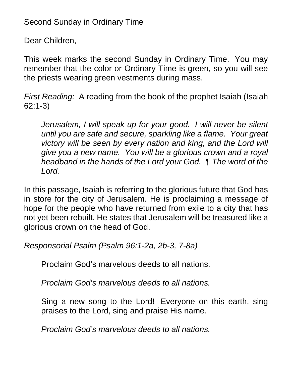## Second Sunday in Ordinary Time

Dear Children,

This week marks the second Sunday in Ordinary Time. You may remember that the color or Ordinary Time is green, so you will see the priests wearing green vestments during mass.

*First Reading:* A reading from the book of the prophet Isaiah (Isaiah 62:1-3)

*Jerusalem, I will speak up for your good. I will never be silent until you are safe and secure, sparkling like a flame. Your great victory will be seen by every nation and king, and the Lord will give you a new name. You will be a glorious crown and a royal headband in the hands of the Lord your God. ¶ The word of the Lord.* 

In this passage, Isaiah is referring to the glorious future that God has in store for the city of Jerusalem. He is proclaiming a message of hope for the people who have returned from exile to a city that has not yet been rebuilt. He states that Jerusalem will be treasured like a glorious crown on the head of God.

*Responsorial Psalm (Psalm 96:1-2a, 2b-3, 7-8a)*

Proclaim God's marvelous deeds to all nations.

*Proclaim God's marvelous deeds to all nations.*

Sing a new song to the Lord! Everyone on this earth, sing praises to the Lord, sing and praise His name.

*Proclaim God's marvelous deeds to all nations.*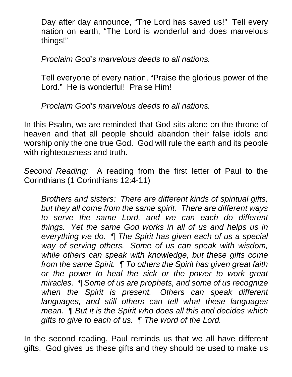Day after day announce, "The Lord has saved us!" Tell every nation on earth, "The Lord is wonderful and does marvelous things!"

*Proclaim God's marvelous deeds to all nations.*

Tell everyone of every nation, "Praise the glorious power of the Lord." He is wonderful! Praise Him!

*Proclaim God's marvelous deeds to all nations.*

In this Psalm, we are reminded that God sits alone on the throne of heaven and that all people should abandon their false idols and worship only the one true God. God will rule the earth and its people with righteousness and truth.

*Second Reading:* A reading from the first letter of Paul to the Corinthians (1 Corinthians 12:4-11)

*Brothers and sisters: There are different kinds of spiritual gifts, but they all come from the same spirit. There are different ways to serve the same Lord, and we can each do different things. Yet the same God works in all of us and helps us in everything we do. ¶ The Spirit has given each of us a special way of serving others. Some of us can speak with wisdom, while others can speak with knowledge, but these gifts come from the same Spirit. ¶ To others the Spirit has given great faith or the power to heal the sick or the power to work great miracles. ¶ Some of us are prophets, and some of us recognize when the Spirit is present. Others can speak different languages, and still others can tell what these languages mean. ¶ But it is the Spirit who does all this and decides which gifts to give to each of us. ¶ The word of the Lord.* 

In the second reading, Paul reminds us that we all have different gifts. God gives us these gifts and they should be used to make us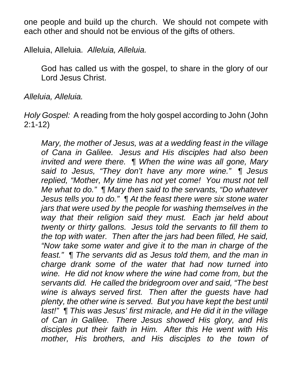one people and build up the church. We should not compete with each other and should not be envious of the gifts of others.

Alleluia, Alleluia. *Alleluia, Alleluia.*

God has called us with the gospel, to share in the glory of our Lord Jesus Christ.

*Alleluia, Alleluia.*

*Holy Gospel:* A reading from the holy gospel according to John (John 2:1-12)

*Mary, the mother of Jesus, was at a wedding feast in the village of Cana in Galilee. Jesus and His disciples had also been invited and were there. ¶ When the wine was all gone, Mary said to Jesus, "They don't have any more wine." ¶ Jesus replied, "Mother, My time has not yet come! You must not tell Me what to do." ¶ Mary then said to the servants, "Do whatever Jesus tells you to do." ¶ At the feast there were six stone water jars that were used by the people for washing themselves in the way that their religion said they must. Each jar held about twenty or thirty gallons. Jesus told the servants to fill them to the top with water. Then after the jars had been filled, He said, "Now take some water and give it to the man in charge of the feast." ¶ The servants did as Jesus told them, and the man in charge drank some of the water that had now turned into wine. He did not know where the wine had come from, but the servants did. He called the bridegroom over and said, "The best wine is always served first. Then after the guests have had plenty, the other wine is served. But you have kept the best until last!" ¶ This was Jesus' first miracle, and He did it in the village of Can in Galilee. There Jesus showed His glory, and His disciples put their faith in Him. After this He went with His mother, His brothers, and His disciples to the town of*